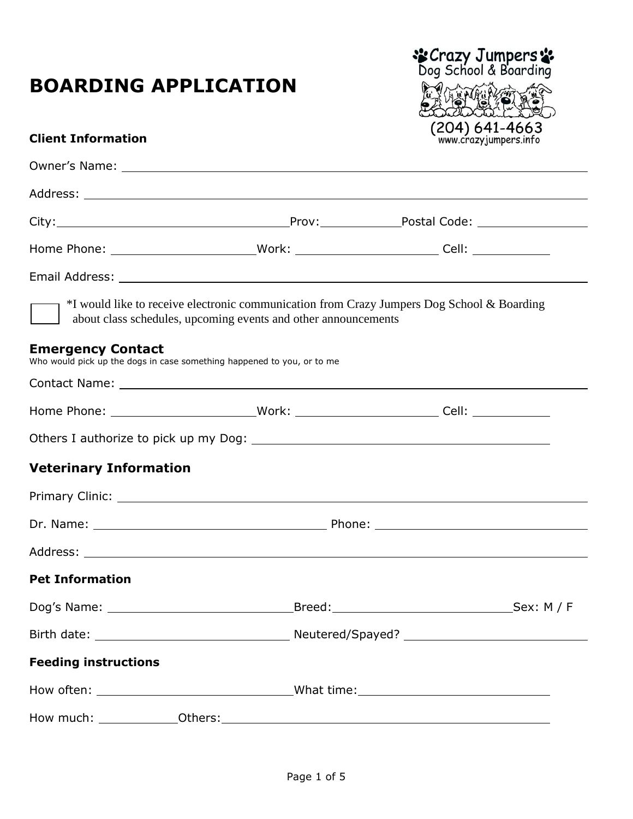# **BOARDING APPLICATION**



#### **Client Information**

|                               |                                                                        | Home Phone: ____________________________Work: ___________________________Cell: ____________________ |
|-------------------------------|------------------------------------------------------------------------|-----------------------------------------------------------------------------------------------------|
|                               |                                                                        |                                                                                                     |
|                               | about class schedules, upcoming events and other announcements         | *I would like to receive electronic communication from Crazy Jumpers Dog School & Boarding          |
| <b>Emergency Contact</b>      | Who would pick up the dogs in case something happened to you, or to me |                                                                                                     |
|                               |                                                                        |                                                                                                     |
|                               |                                                                        |                                                                                                     |
|                               |                                                                        |                                                                                                     |
| <b>Veterinary Information</b> |                                                                        |                                                                                                     |
|                               |                                                                        |                                                                                                     |
|                               |                                                                        |                                                                                                     |
|                               |                                                                        |                                                                                                     |
| <b>Pet Information</b>        |                                                                        |                                                                                                     |
|                               |                                                                        |                                                                                                     |
|                               |                                                                        |                                                                                                     |
| <b>Feeding instructions</b>   |                                                                        |                                                                                                     |
|                               |                                                                        |                                                                                                     |
|                               |                                                                        |                                                                                                     |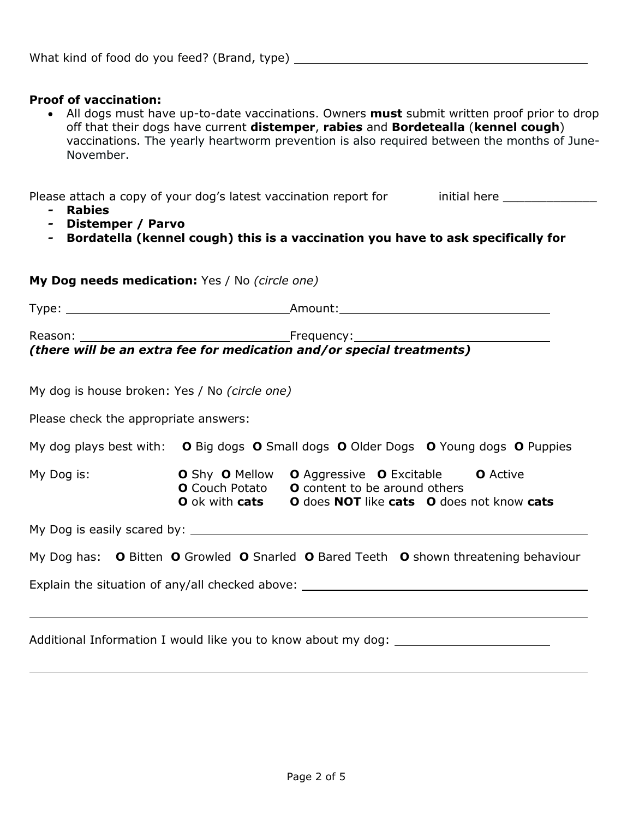#### **Proof of vaccination:**

 All dogs must have up-to-date vaccinations. Owners **must** submit written proof prior to drop off that their dogs have current **distemper**, **rabies** and **Bordetealla** (**kennel cough**) vaccinations. The yearly heartworm prevention is also required between the months of June-November.

Please attach a copy of your dog's latest vaccination report for initial here

- *-* **Rabies**
- *-* **Distemper / Parvo**
- *-* **Bordatella (kennel cough) this is a vaccination you have to ask specifically for**

|                                               | My Dog needs medication: Yes / No (circle one)                                                                                                                                                                           |
|-----------------------------------------------|--------------------------------------------------------------------------------------------------------------------------------------------------------------------------------------------------------------------------|
|                                               |                                                                                                                                                                                                                          |
|                                               | (there will be an extra fee for medication and/or special treatments)                                                                                                                                                    |
| My dog is house broken: Yes / No (circle one) |                                                                                                                                                                                                                          |
| Please check the appropriate answers:         |                                                                                                                                                                                                                          |
|                                               | My dog plays best with: O Big dogs O Small dogs O Older Dogs O Young dogs O Puppies                                                                                                                                      |
|                                               | My Dog is: <b>O</b> Shy <b>O</b> Mellow <b>O</b> Aggressive <b>O</b> Excitable <b>O</b> Active<br><b>O</b> Couch Potato <b>O</b> content to be around others<br>O ok with cats O does NOT like cats O does not know cats |
|                                               |                                                                                                                                                                                                                          |
|                                               | My Dog has: O Bitten O Growled O Snarled O Bared Teeth O shown threatening behaviour                                                                                                                                     |
|                                               | Explain the situation of any/all checked above: ________________________________                                                                                                                                         |
|                                               |                                                                                                                                                                                                                          |
|                                               | Additional Information I would like you to know about my dog: ___________________                                                                                                                                        |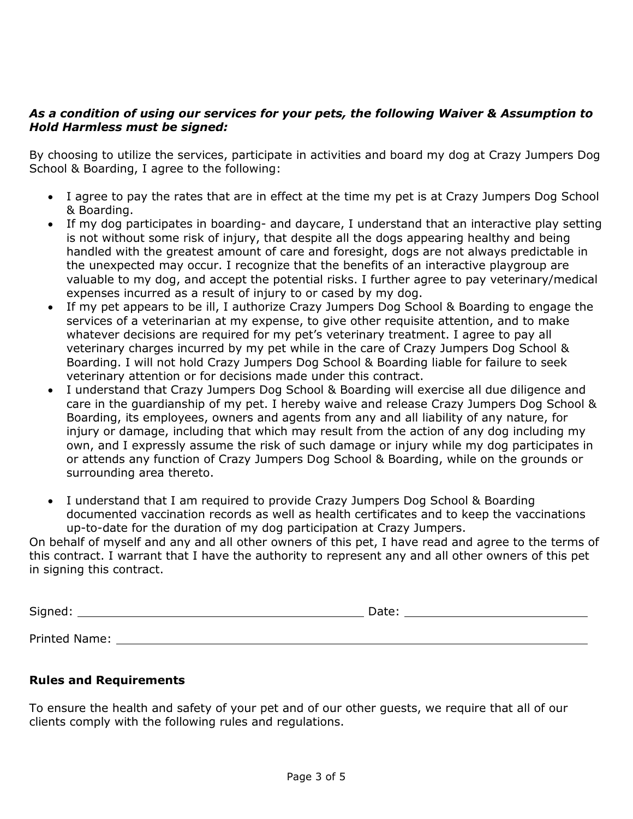#### *As a condition of using our services for your pets, the following Waiver & Assumption to Hold Harmless must be signed:*

By choosing to utilize the services, participate in activities and board my dog at Crazy Jumpers Dog School & Boarding, I agree to the following:

- I agree to pay the rates that are in effect at the time my pet is at Crazy Jumpers Dog School & Boarding.
- If my dog participates in boarding- and daycare, I understand that an interactive play setting is not without some risk of injury, that despite all the dogs appearing healthy and being handled with the greatest amount of care and foresight, dogs are not always predictable in the unexpected may occur. I recognize that the benefits of an interactive playgroup are valuable to my dog, and accept the potential risks. I further agree to pay veterinary/medical expenses incurred as a result of injury to or cased by my dog.
- If my pet appears to be ill, I authorize Crazy Jumpers Dog School & Boarding to engage the services of a veterinarian at my expense, to give other requisite attention, and to make whatever decisions are required for my pet's veterinary treatment. I agree to pay all veterinary charges incurred by my pet while in the care of Crazy Jumpers Dog School & Boarding. I will not hold Crazy Jumpers Dog School & Boarding liable for failure to seek veterinary attention or for decisions made under this contract.
- I understand that Crazy Jumpers Dog School & Boarding will exercise all due diligence and care in the guardianship of my pet. I hereby waive and release Crazy Jumpers Dog School & Boarding, its employees, owners and agents from any and all liability of any nature, for injury or damage, including that which may result from the action of any dog including my own, and I expressly assume the risk of such damage or injury while my dog participates in or attends any function of Crazy Jumpers Dog School & Boarding, while on the grounds or surrounding area thereto.
- I understand that I am required to provide Crazy Jumpers Dog School & Boarding documented vaccination records as well as health certificates and to keep the vaccinations up-to-date for the duration of my dog participation at Crazy Jumpers.

On behalf of myself and any and all other owners of this pet, I have read and agree to the terms of this contract. I warrant that I have the authority to represent any and all other owners of this pet in signing this contract.

| Signed:       | Date: |
|---------------|-------|
|               |       |
| Printed Name: |       |

#### **Rules and Requirements**

To ensure the health and safety of your pet and of our other guests, we require that all of our clients comply with the following rules and regulations.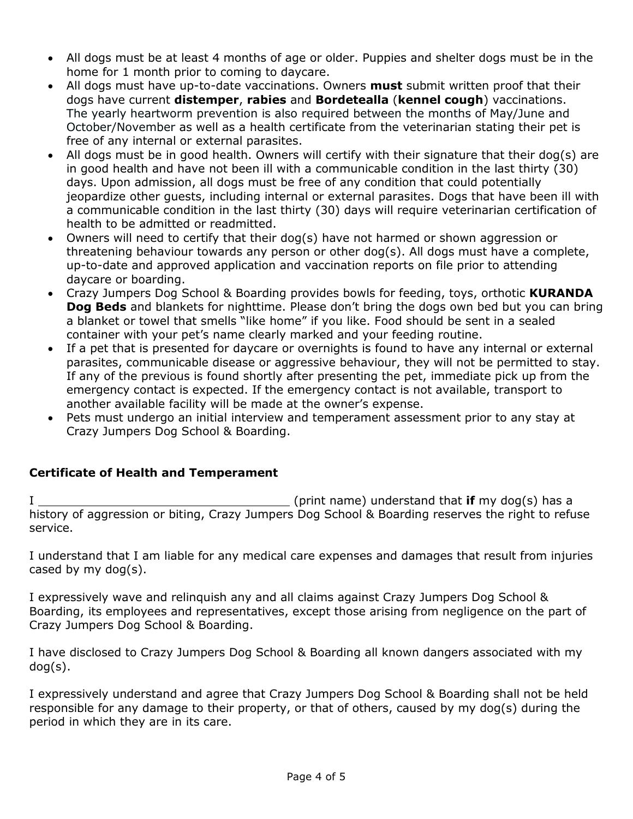- All dogs must be at least 4 months of age or older. Puppies and shelter dogs must be in the home for 1 month prior to coming to daycare.
- All dogs must have up-to-date vaccinations. Owners **must** submit written proof that their dogs have current **distemper**, **rabies** and **Bordetealla** (**kennel cough**) vaccinations. The yearly heartworm prevention is also required between the months of May/June and October/November as well as a health certificate from the veterinarian stating their pet is free of any internal or external parasites.
- All dogs must be in good health. Owners will certify with their signature that their dog(s) are in good health and have not been ill with a communicable condition in the last thirty (30) days. Upon admission, all dogs must be free of any condition that could potentially jeopardize other guests, including internal or external parasites. Dogs that have been ill with a communicable condition in the last thirty (30) days will require veterinarian certification of health to be admitted or readmitted.
- Owners will need to certify that their dog(s) have not harmed or shown aggression or threatening behaviour towards any person or other dog(s). All dogs must have a complete, up-to-date and approved application and vaccination reports on file prior to attending daycare or boarding.
- Crazy Jumpers Dog School & Boarding provides bowls for feeding, toys, orthotic **KURANDA Dog Beds** and blankets for nighttime. Please don't bring the dogs own bed but you can bring a blanket or towel that smells "like home" if you like. Food should be sent in a sealed container with your pet's name clearly marked and your feeding routine.
- If a pet that is presented for daycare or overnights is found to have any internal or external parasites, communicable disease or aggressive behaviour, they will not be permitted to stay. If any of the previous is found shortly after presenting the pet, immediate pick up from the emergency contact is expected. If the emergency contact is not available, transport to another available facility will be made at the owner's expense.
- Pets must undergo an initial interview and temperament assessment prior to any stay at Crazy Jumpers Dog School & Boarding.

#### **Certificate of Health and Temperament**

I (print name) understand that **if** my dog(s) has a history of aggression or biting, Crazy Jumpers Dog School & Boarding reserves the right to refuse service.

I understand that I am liable for any medical care expenses and damages that result from injuries cased by my dog(s).

I expressively wave and relinquish any and all claims against Crazy Jumpers Dog School & Boarding, its employees and representatives, except those arising from negligence on the part of Crazy Jumpers Dog School & Boarding.

I have disclosed to Crazy Jumpers Dog School & Boarding all known dangers associated with my dog(s).

I expressively understand and agree that Crazy Jumpers Dog School & Boarding shall not be held responsible for any damage to their property, or that of others, caused by my dog(s) during the period in which they are in its care.